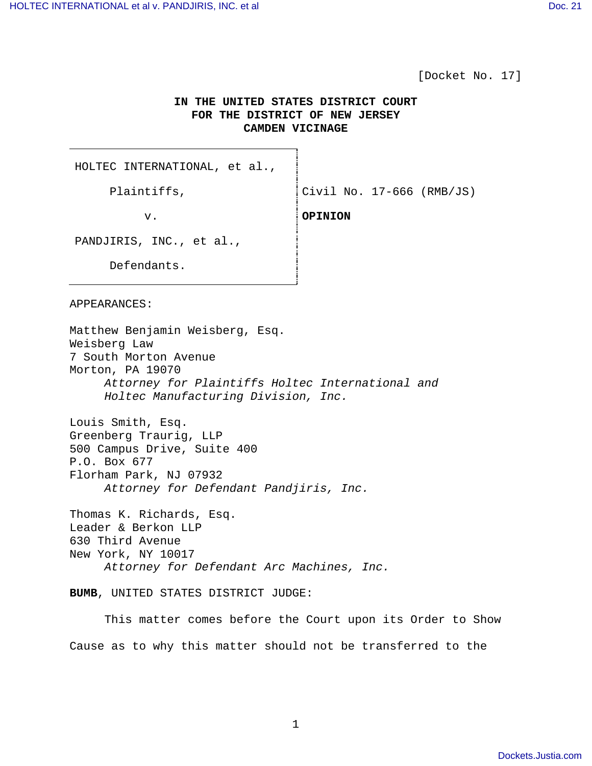[Docket No. 17]

# **IN THE UNITED STATES DISTRICT COURT FOR THE DISTRICT OF NEW JERSEY CAMDEN VICINAGE**

HOLTEC INTERNATIONAL, et al.,

Plaintiffs,  $\vert$  Civil No. 17-666 (RMB/JS)

v. **OPINION**

PANDJIRIS, INC., et al.,

Defendants.

APPEARANCES:

Matthew Benjamin Weisberg, Esq. Weisberg Law 7 South Morton Avenue Morton, PA 19070 Attorney for Plaintiffs Holtec International and Holtec Manufacturing Division, Inc. Louis Smith, Esq. Greenberg Traurig, LLP 500 Campus Drive, Suite 400 P.O. Box 677 Florham Park, NJ 07932 Attorney for Defendant Pandjiris, Inc. Thomas K. Richards, Esq. Leader & Berkon LLP 630 Third Avenue New York, NY 10017 Attorney for Defendant Arc Machines, Inc.

**BUMB**, UNITED STATES DISTRICT JUDGE:

 This matter comes before the Court upon its Order to Show Cause as to why this matter should not be transferred to the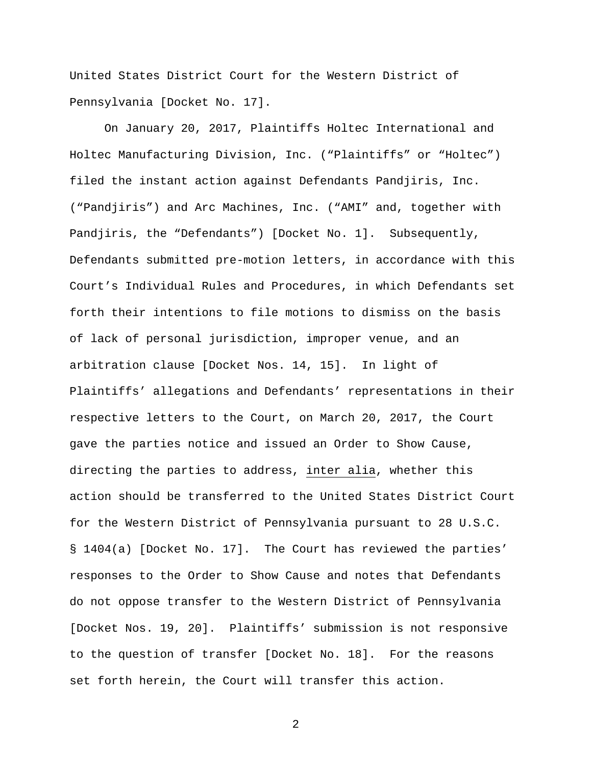United States District Court for the Western District of Pennsylvania [Docket No. 17].

 On January 20, 2017, Plaintiffs Holtec International and Holtec Manufacturing Division, Inc. ("Plaintiffs" or "Holtec") filed the instant action against Defendants Pandjiris, Inc. ("Pandjiris") and Arc Machines, Inc. ("AMI" and, together with Pandjiris, the "Defendants") [Docket No. 1]. Subsequently, Defendants submitted pre-motion letters, in accordance with this Court's Individual Rules and Procedures, in which Defendants set forth their intentions to file motions to dismiss on the basis of lack of personal jurisdiction, improper venue, and an arbitration clause [Docket Nos. 14, 15]. In light of Plaintiffs' allegations and Defendants' representations in their respective letters to the Court, on March 20, 2017, the Court gave the parties notice and issued an Order to Show Cause, directing the parties to address, inter alia, whether this action should be transferred to the United States District Court for the Western District of Pennsylvania pursuant to 28 U.S.C. § 1404(a) [Docket No. 17]. The Court has reviewed the parties' responses to the Order to Show Cause and notes that Defendants do not oppose transfer to the Western District of Pennsylvania [Docket Nos. 19, 20]. Plaintiffs' submission is not responsive to the question of transfer [Docket No. 18]. For the reasons set forth herein, the Court will transfer this action.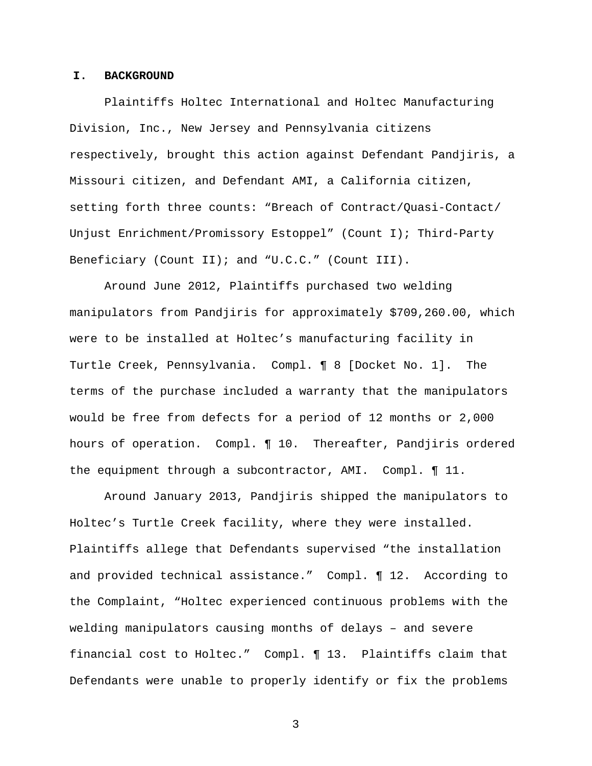#### **I. BACKGROUND**

Plaintiffs Holtec International and Holtec Manufacturing Division, Inc., New Jersey and Pennsylvania citizens respectively, brought this action against Defendant Pandjiris, a Missouri citizen, and Defendant AMI, a California citizen, setting forth three counts: "Breach of Contract/Quasi-Contact/ Unjust Enrichment/Promissory Estoppel" (Count I); Third-Party Beneficiary (Count II); and "U.C.C." (Count III).

Around June 2012, Plaintiffs purchased two welding manipulators from Pandjiris for approximately \$709,260.00, which were to be installed at Holtec's manufacturing facility in Turtle Creek, Pennsylvania. Compl. ¶ 8 [Docket No. 1]. The terms of the purchase included a warranty that the manipulators would be free from defects for a period of 12 months or 2,000 hours of operation. Compl. ¶ 10. Thereafter, Pandjiris ordered the equipment through a subcontractor, AMI. Compl. ¶ 11.

Around January 2013, Pandjiris shipped the manipulators to Holtec's Turtle Creek facility, where they were installed. Plaintiffs allege that Defendants supervised "the installation and provided technical assistance." Compl. ¶ 12. According to the Complaint, "Holtec experienced continuous problems with the welding manipulators causing months of delays – and severe financial cost to Holtec." Compl. ¶ 13. Plaintiffs claim that Defendants were unable to properly identify or fix the problems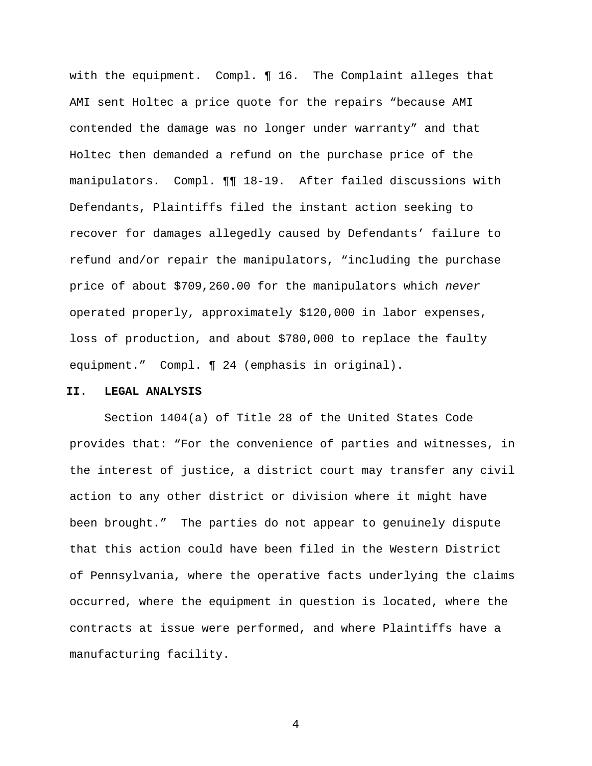with the equipment. Compl. ¶ 16. The Complaint alleges that AMI sent Holtec a price quote for the repairs "because AMI contended the damage was no longer under warranty" and that Holtec then demanded a refund on the purchase price of the manipulators. Compl. ¶¶ 18-19. After failed discussions with Defendants, Plaintiffs filed the instant action seeking to recover for damages allegedly caused by Defendants' failure to refund and/or repair the manipulators, "including the purchase price of about \$709,260.00 for the manipulators which never operated properly, approximately \$120,000 in labor expenses, loss of production, and about \$780,000 to replace the faulty equipment." Compl. ¶ 24 (emphasis in original).

## **II. LEGAL ANALYSIS**

Section 1404(a) of Title 28 of the United States Code provides that: "For the convenience of parties and witnesses, in the interest of justice, a district court may transfer any civil action to any other district or division where it might have been brought." The parties do not appear to genuinely dispute that this action could have been filed in the Western District of Pennsylvania, where the operative facts underlying the claims occurred, where the equipment in question is located, where the contracts at issue were performed, and where Plaintiffs have a manufacturing facility.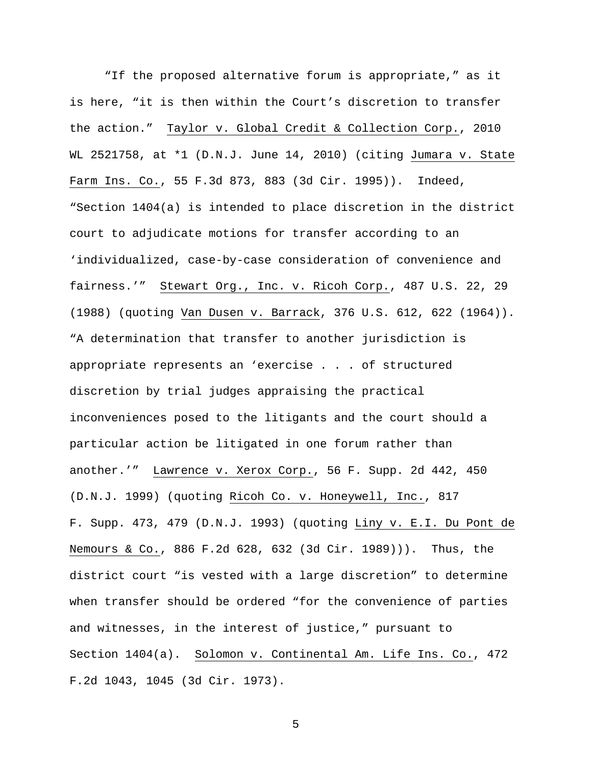"If the proposed alternative forum is appropriate," as it is here, "it is then within the Court's discretion to transfer the action." Taylor v. Global Credit & Collection Corp., 2010 WL 2521758, at \*1 (D.N.J. June 14, 2010) (citing Jumara v. State Farm Ins. Co., 55 F.3d 873, 883 (3d Cir. 1995)). Indeed, "Section 1404(a) is intended to place discretion in the district court to adjudicate motions for transfer according to an 'individualized, case-by-case consideration of convenience and fairness.'" Stewart Org., Inc. v. Ricoh Corp., 487 U.S. 22, 29 (1988) (quoting Van Dusen v. Barrack, 376 U.S. 612, 622 (1964)). "A determination that transfer to another jurisdiction is appropriate represents an 'exercise . . . of structured discretion by trial judges appraising the practical inconveniences posed to the litigants and the court should a particular action be litigated in one forum rather than another.'" Lawrence v. Xerox Corp., 56 F. Supp. 2d 442, 450 (D.N.J. 1999) (quoting Ricoh Co. v. Honeywell, Inc., 817 F. Supp. 473, 479 (D.N.J. 1993) (quoting Liny v. E.I. Du Pont de Nemours & Co., 886 F.2d 628, 632 (3d Cir. 1989))). Thus, the district court "is vested with a large discretion" to determine when transfer should be ordered "for the convenience of parties and witnesses, in the interest of justice," pursuant to Section 1404(a). Solomon v. Continental Am. Life Ins. Co., 472 F.2d 1043, 1045 (3d Cir. 1973).

 $\sim$  5  $\sim$  5  $\sim$  5  $\sim$  5  $\sim$  5  $\sim$  5  $\sim$  5  $\sim$  5  $\sim$  5  $\sim$  5  $\sim$  5  $\sim$  5  $\sim$  5  $\sim$  5  $\sim$  5  $\sim$  5  $\sim$  5  $\sim$  5  $\sim$  5  $\sim$  5  $\sim$  5  $\sim$  5  $\sim$  5  $\sim$  5  $\sim$  5  $\sim$  5  $\sim$  5  $\sim$  5  $\sim$  5  $\sim$  5  $\sim$  5  $\sim$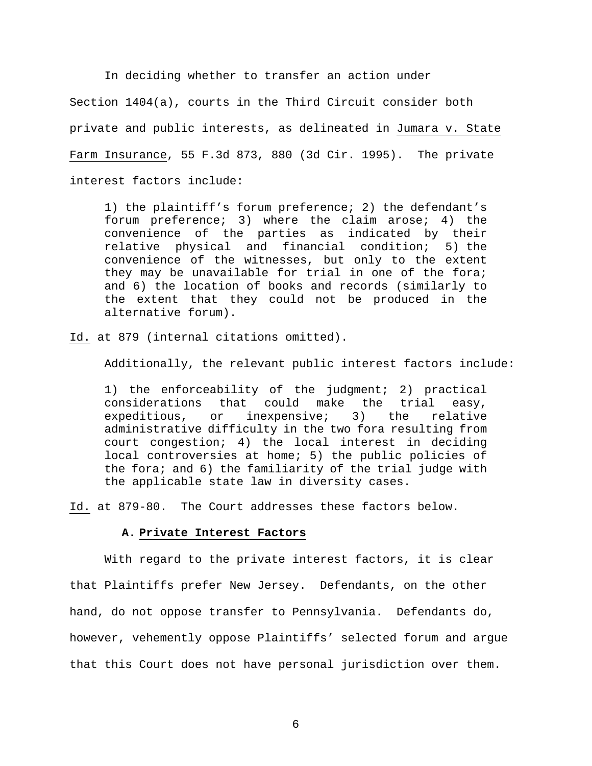In deciding whether to transfer an action under Section 1404(a), courts in the Third Circuit consider both private and public interests, as delineated in Jumara v. State Farm Insurance, 55 F.3d 873, 880 (3d Cir. 1995). The private interest factors include:

1) the plaintiff's forum preference; 2) the defendant's forum preference; 3) where the claim arose; 4) the convenience of the parties as indicated by their relative physical and financial condition; 5) the convenience of the witnesses, but only to the extent they may be unavailable for trial in one of the fora; and 6) the location of books and records (similarly to the extent that they could not be produced in the alternative forum).

Id. at 879 (internal citations omitted).

Additionally, the relevant public interest factors include:

1) the enforceability of the judgment; 2) practical considerations that could make the trial easy, expeditious, or inexpensive; 3) the relative administrative difficulty in the two fora resulting from court congestion; 4) the local interest in deciding local controversies at home; 5) the public policies of the fora; and 6) the familiarity of the trial judge with the applicable state law in diversity cases.

Id. at 879-80. The Court addresses these factors below.

#### **A. Private Interest Factors**

With regard to the private interest factors, it is clear that Plaintiffs prefer New Jersey. Defendants, on the other hand, do not oppose transfer to Pennsylvania. Defendants do, however, vehemently oppose Plaintiffs' selected forum and argue that this Court does not have personal jurisdiction over them.

 $\overline{6}$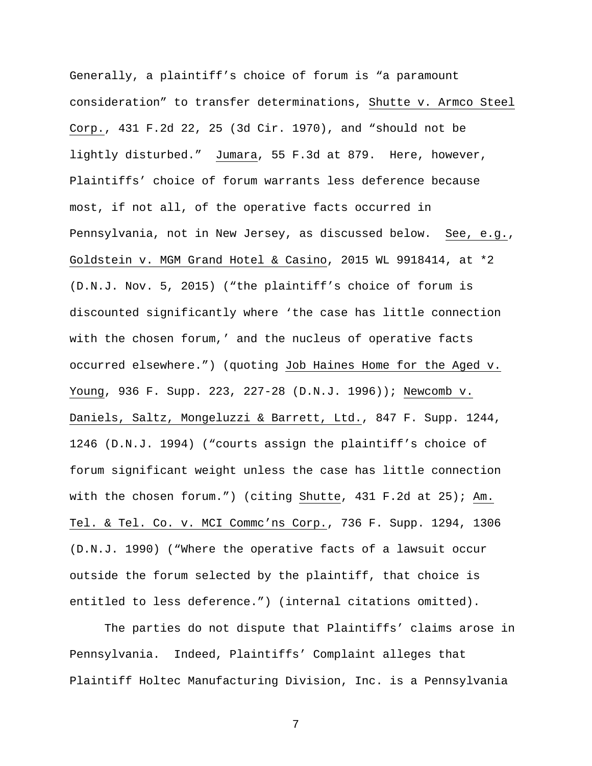Generally, a plaintiff's choice of forum is "a paramount consideration" to transfer determinations, Shutte v. Armco Steel Corp., 431 F.2d 22, 25 (3d Cir. 1970), and "should not be lightly disturbed." Jumara, 55 F.3d at 879. Here, however, Plaintiffs' choice of forum warrants less deference because most, if not all, of the operative facts occurred in Pennsylvania, not in New Jersey, as discussed below. See, e.g., Goldstein v. MGM Grand Hotel & Casino, 2015 WL 9918414, at \*2 (D.N.J. Nov. 5, 2015) ("the plaintiff's choice of forum is discounted significantly where 'the case has little connection with the chosen forum,' and the nucleus of operative facts occurred elsewhere.") (quoting Job Haines Home for the Aged v. Young, 936 F. Supp. 223, 227-28 (D.N.J. 1996)); Newcomb v. Daniels, Saltz, Mongeluzzi & Barrett, Ltd., 847 F. Supp. 1244, 1246 (D.N.J. 1994) ("courts assign the plaintiff's choice of forum significant weight unless the case has little connection with the chosen forum.") (citing Shutte, 431 F.2d at 25); Am. Tel. & Tel. Co. v. MCI Commc'ns Corp., 736 F. Supp. 1294, 1306 (D.N.J. 1990) ("Where the operative facts of a lawsuit occur outside the forum selected by the plaintiff, that choice is entitled to less deference.") (internal citations omitted).

The parties do not dispute that Plaintiffs' claims arose in Pennsylvania. Indeed, Plaintiffs' Complaint alleges that Plaintiff Holtec Manufacturing Division, Inc. is a Pennsylvania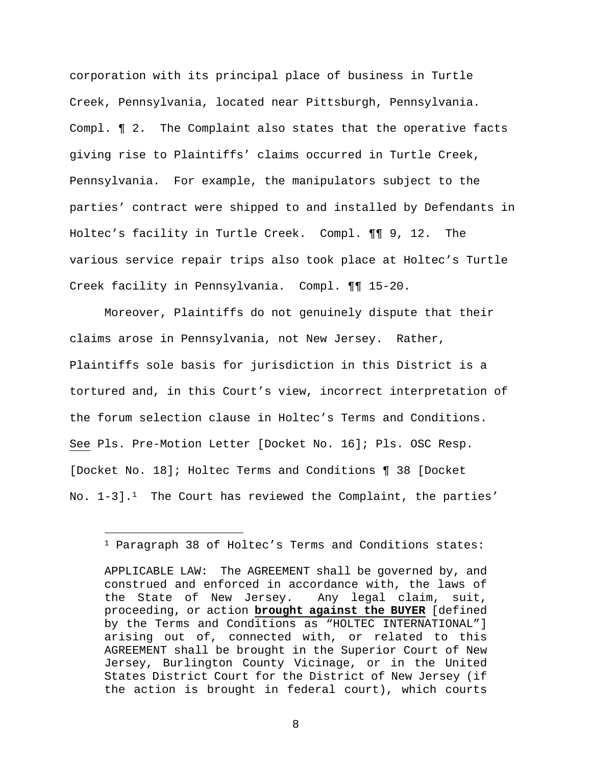corporation with its principal place of business in Turtle Creek, Pennsylvania, located near Pittsburgh, Pennsylvania. Compl. ¶ 2. The Complaint also states that the operative facts giving rise to Plaintiffs' claims occurred in Turtle Creek, Pennsylvania. For example, the manipulators subject to the parties' contract were shipped to and installed by Defendants in Holtec's facility in Turtle Creek. Compl. ¶¶ 9, 12. The various service repair trips also took place at Holtec's Turtle Creek facility in Pennsylvania. Compl. ¶¶ 15-20.

Moreover, Plaintiffs do not genuinely dispute that their claims arose in Pennsylvania, not New Jersey. Rather, Plaintiffs sole basis for jurisdiction in this District is a tortured and, in this Court's view, incorrect interpretation of the forum selection clause in Holtec's Terms and Conditions. See Pls. Pre-Motion Letter [Docket No. 16]; Pls. OSC Resp. [Docket No. 18]; Holtec Terms and Conditions ¶ 38 [Docket No.  $1-3$ ].<sup>1</sup> The Court has reviewed the Complaint, the parties'

<sup>1</sup> Paragraph 38 of Holtec's Terms and Conditions states:

APPLICABLE LAW: The AGREEMENT shall be governed by, and construed and enforced in accordance with, the laws of the State of New Jersey. Any legal claim, suit, proceeding, or action **brought against the BUYER** [defined by the Terms and Conditions as "HOLTEC INTERNATIONAL"] arising out of, connected with, or related to this AGREEMENT shall be brought in the Superior Court of New Jersey, Burlington County Vicinage, or in the United States District Court for the District of New Jersey (if the action is brought in federal court), which courts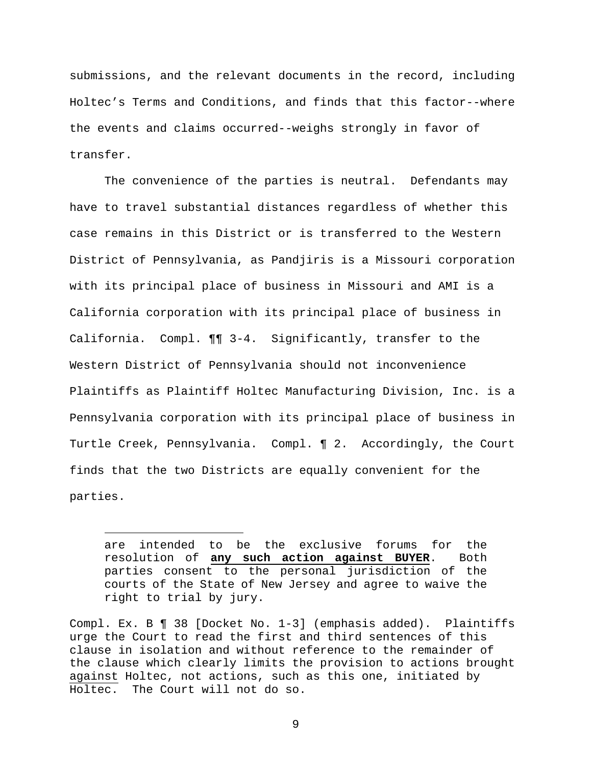submissions, and the relevant documents in the record, including Holtec's Terms and Conditions, and finds that this factor--where the events and claims occurred--weighs strongly in favor of transfer.

The convenience of the parties is neutral. Defendants may have to travel substantial distances regardless of whether this case remains in this District or is transferred to the Western District of Pennsylvania, as Pandjiris is a Missouri corporation with its principal place of business in Missouri and AMI is a California corporation with its principal place of business in California. Compl. ¶¶ 3-4. Significantly, transfer to the Western District of Pennsylvania should not inconvenience Plaintiffs as Plaintiff Holtec Manufacturing Division, Inc. is a Pennsylvania corporation with its principal place of business in Turtle Creek, Pennsylvania. Compl. ¶ 2. Accordingly, the Court finds that the two Districts are equally convenient for the parties.

are intended to be the exclusive forums for the resolution of **any such action against BUYER**. Both parties consent to the personal jurisdiction of the courts of the State of New Jersey and agree to waive the right to trial by jury.

Compl. Ex. B ¶ 38 [Docket No. 1-3] (emphasis added). Plaintiffs urge the Court to read the first and third sentences of this clause in isolation and without reference to the remainder of the clause which clearly limits the provision to actions brought against Holtec, not actions, such as this one, initiated by Holtec. The Court will not do so.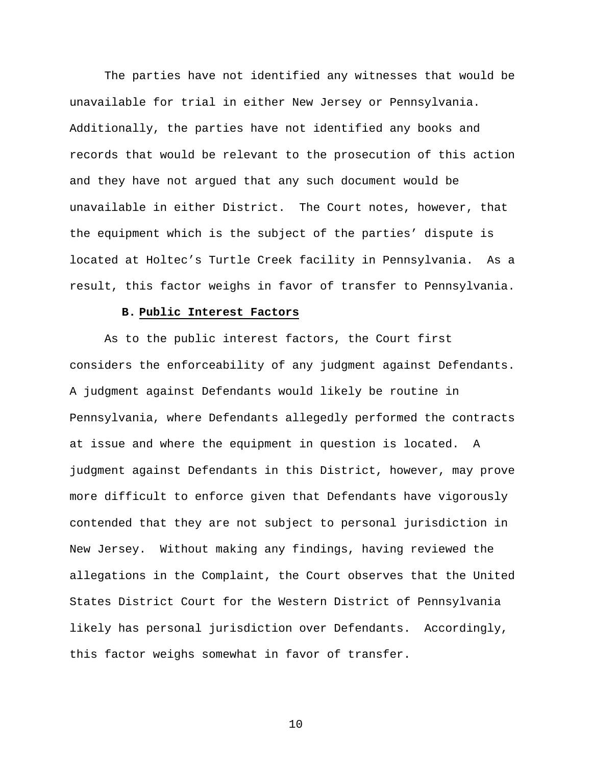The parties have not identified any witnesses that would be unavailable for trial in either New Jersey or Pennsylvania. Additionally, the parties have not identified any books and records that would be relevant to the prosecution of this action and they have not argued that any such document would be unavailable in either District. The Court notes, however, that the equipment which is the subject of the parties' dispute is located at Holtec's Turtle Creek facility in Pennsylvania. As a result, this factor weighs in favor of transfer to Pennsylvania.

# **B. Public Interest Factors**

As to the public interest factors, the Court first considers the enforceability of any judgment against Defendants. A judgment against Defendants would likely be routine in Pennsylvania, where Defendants allegedly performed the contracts at issue and where the equipment in question is located. A judgment against Defendants in this District, however, may prove more difficult to enforce given that Defendants have vigorously contended that they are not subject to personal jurisdiction in New Jersey. Without making any findings, having reviewed the allegations in the Complaint, the Court observes that the United States District Court for the Western District of Pennsylvania likely has personal jurisdiction over Defendants. Accordingly, this factor weighs somewhat in favor of transfer.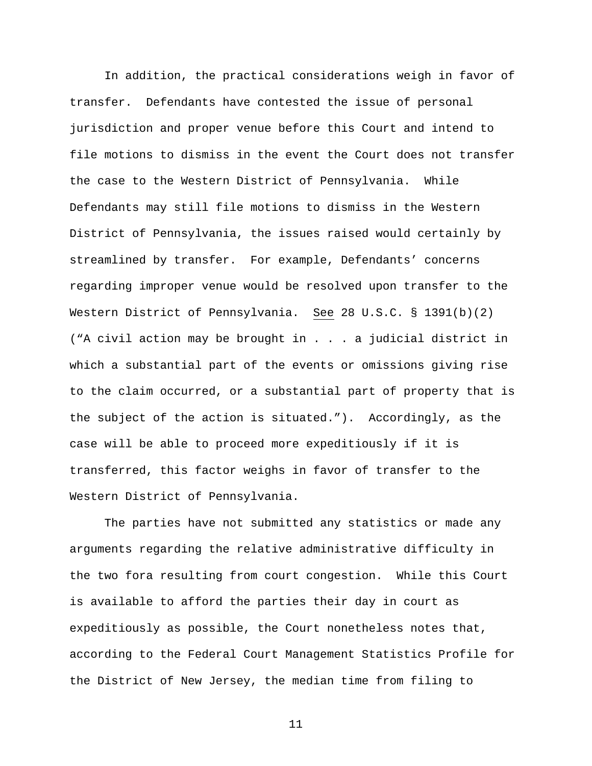In addition, the practical considerations weigh in favor of transfer. Defendants have contested the issue of personal jurisdiction and proper venue before this Court and intend to file motions to dismiss in the event the Court does not transfer the case to the Western District of Pennsylvania. While Defendants may still file motions to dismiss in the Western District of Pennsylvania, the issues raised would certainly by streamlined by transfer. For example, Defendants' concerns regarding improper venue would be resolved upon transfer to the Western District of Pennsylvania. See 28 U.S.C. § 1391(b)(2) ("A civil action may be brought in . . . a judicial district in which a substantial part of the events or omissions giving rise to the claim occurred, or a substantial part of property that is the subject of the action is situated."). Accordingly, as the case will be able to proceed more expeditiously if it is transferred, this factor weighs in favor of transfer to the Western District of Pennsylvania.

The parties have not submitted any statistics or made any arguments regarding the relative administrative difficulty in the two fora resulting from court congestion. While this Court is available to afford the parties their day in court as expeditiously as possible, the Court nonetheless notes that, according to the Federal Court Management Statistics Profile for the District of New Jersey, the median time from filing to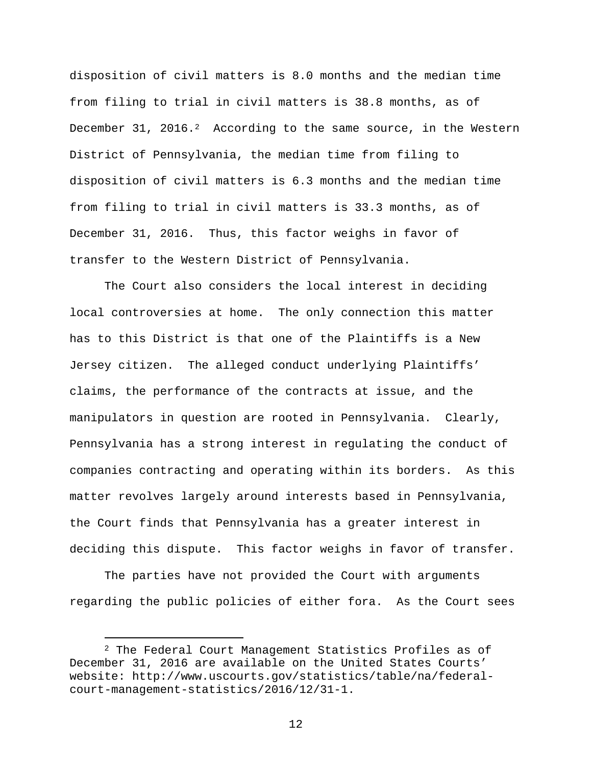disposition of civil matters is 8.0 months and the median time from filing to trial in civil matters is 38.8 months, as of December 31, 2016.<sup>2</sup> According to the same source, in the Western District of Pennsylvania, the median time from filing to disposition of civil matters is 6.3 months and the median time from filing to trial in civil matters is 33.3 months, as of December 31, 2016. Thus, this factor weighs in favor of transfer to the Western District of Pennsylvania.

The Court also considers the local interest in deciding local controversies at home. The only connection this matter has to this District is that one of the Plaintiffs is a New Jersey citizen. The alleged conduct underlying Plaintiffs' claims, the performance of the contracts at issue, and the manipulators in question are rooted in Pennsylvania. Clearly, Pennsylvania has a strong interest in regulating the conduct of companies contracting and operating within its borders. As this matter revolves largely around interests based in Pennsylvania, the Court finds that Pennsylvania has a greater interest in deciding this dispute. This factor weighs in favor of transfer.

The parties have not provided the Court with arguments regarding the public policies of either fora. As the Court sees

<sup>2</sup> The Federal Court Management Statistics Profiles as of December 31, 2016 are available on the United States Courts' website: http://www.uscourts.gov/statistics/table/na/federalcourt-management-statistics/2016/12/31-1.